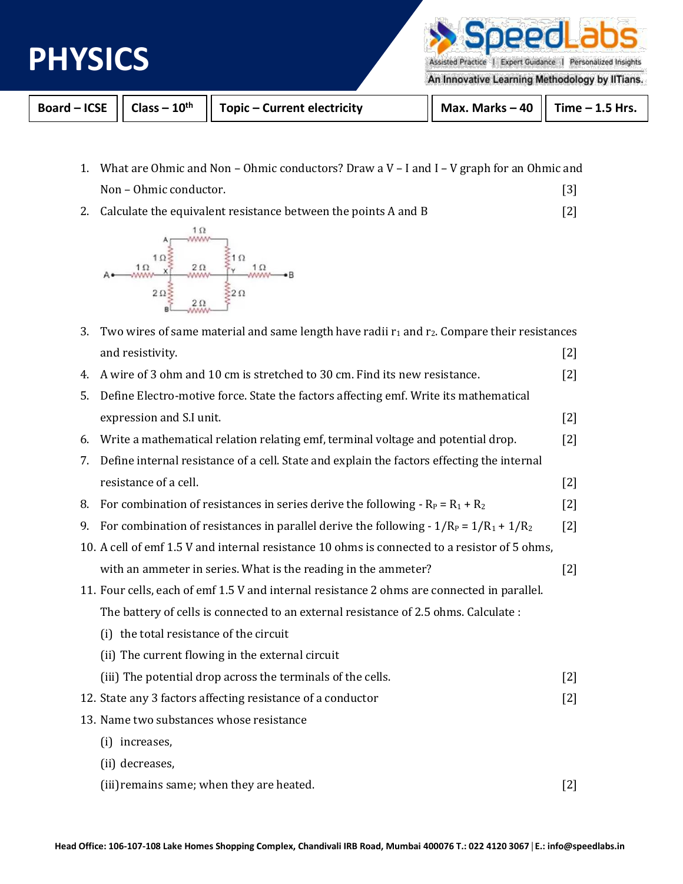

peedL

Assisted Practice | Expert Guidance | Personalized Insights

An Innovative Learning Methodology by IITians.

|  | Board – ICSE $  $ Class – 10 <sup>th</sup> $  $ Topic – Current electricity | $\vert$ Max. Marks – 40 $\vert$ Time – 1.5 Hrs. |  |
|--|-----------------------------------------------------------------------------|-------------------------------------------------|--|
|  |                                                                             |                                                 |  |

- 1. What are Ohmic and Non Ohmic conductors? Draw a V I and I V graph for an Ohmic and Non – Ohmic conductor. [3]
- 2. Calculate the equivalent resistance between the points A and B [2]



| 3. | Two wires of same material and same length have radii $r_1$ and $r_2$ . Compare their resistances |       |  |  |
|----|---------------------------------------------------------------------------------------------------|-------|--|--|
|    | and resistivity.                                                                                  | $[2]$ |  |  |
| 4. | A wire of 3 ohm and 10 cm is stretched to 30 cm. Find its new resistance.                         | $[2]$ |  |  |
| 5. | Define Electro-motive force. State the factors affecting emf. Write its mathematical              |       |  |  |
|    | expression and S.I unit.                                                                          | $[2]$ |  |  |
| 6. | Write a mathematical relation relating emf, terminal voltage and potential drop.                  | $[2]$ |  |  |
| 7. | Define internal resistance of a cell. State and explain the factors effecting the internal        |       |  |  |
|    | resistance of a cell.                                                                             | $[2]$ |  |  |
| 8. | For combination of resistances in series derive the following - $R_P = R_1 + R_2$                 | $[2]$ |  |  |
| 9. | For combination of resistances in parallel derive the following - $1/R_P = 1/R_1 + 1/R_2$         | $[2]$ |  |  |
|    | 10. A cell of emf 1.5 V and internal resistance 10 ohms is connected to a resistor of 5 ohms,     |       |  |  |
|    | with an ammeter in series. What is the reading in the ammeter?                                    | $[2]$ |  |  |
|    | 11. Four cells, each of emf 1.5 V and internal resistance 2 ohms are connected in parallel.       |       |  |  |
|    | The battery of cells is connected to an external resistance of 2.5 ohms. Calculate :              |       |  |  |
|    | (i) the total resistance of the circuit                                                           |       |  |  |
|    | (ii) The current flowing in the external circuit                                                  |       |  |  |
|    | (iii) The potential drop across the terminals of the cells.                                       | $[2]$ |  |  |
|    | 12. State any 3 factors affecting resistance of a conductor                                       | $[2]$ |  |  |
|    | 13. Name two substances whose resistance                                                          |       |  |  |
|    | (i) increases,                                                                                    |       |  |  |
|    | (ii) decreases,                                                                                   |       |  |  |
|    | (iii) remains same; when they are heated.                                                         | $[2]$ |  |  |